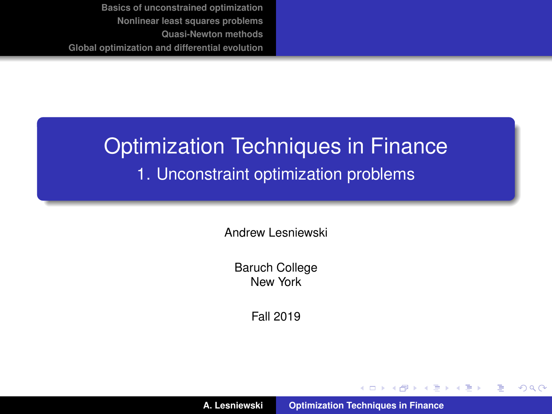# <span id="page-0-0"></span>Optimization Techniques in Finance 1. Unconstraint optimization problems

Andrew Lesniewski

Baruch College New York

Fall 2019

**A. Lesniewski [Optimization Techniques in Finance](#page-49-0)**

(ロトス個) (運) (運)

 $299$ 

重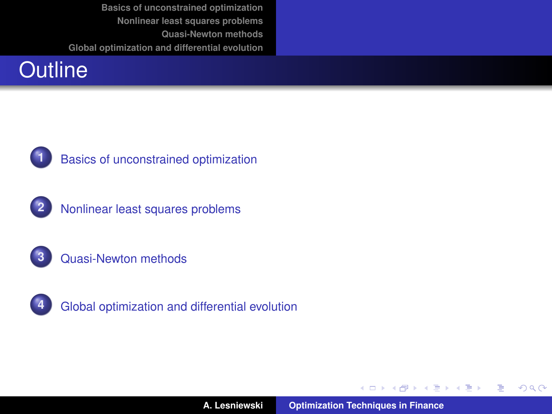



**1** [Basics of unconstrained optimization](#page-3-0)









**4** [Global optimization and differential evolution](#page-41-0)

イロメ イ部メ イ君メ イ君メー

 $299$ 

重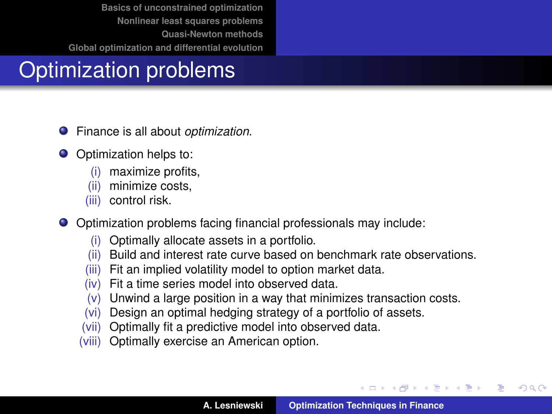# Optimization problems

- Finance is all about *optimization*. .
- Optimization helps to:
	- (i) maximize profits,
	- (ii) minimize costs,
	- (iii) control risk.
- Optimization problems facing financial professionals may include:
	- (i) Optimally allocate assets in a portfolio.
	- (ii) Build and interest rate curve based on benchmark rate observations.
	- (iii) Fit an implied volatility model to option market data.
	- (iv) Fit a time series model into observed data.
	- $(v)$  Unwind a large position in a way that minimizes transaction costs.
	- (vi) Design an optimal hedging strategy of a portfolio of assets.
	- (vii) Optimally fit a predictive model into observed data.
	- (viii) Optimally exercise an American option.

イロメ イ部メ イ君メ イ君メー

 $299$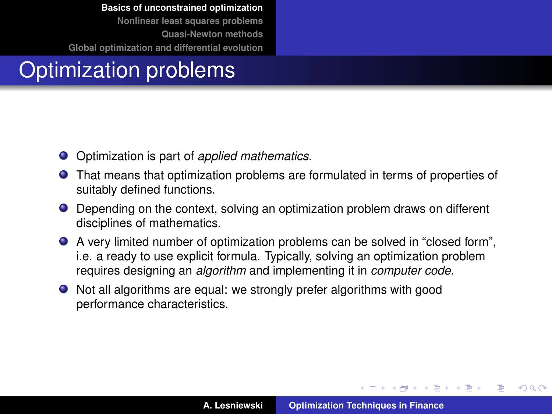#### <span id="page-3-0"></span>Optimization problems

- Optimization is part of *applied mathematics*.
- That means that optimization problems are formulated in terms of properties of suitably defined functions.
- Depending on the context, solving an optimization problem draws on different disciplines of mathematics.
- A very limited number of optimization problems can be solved in "closed form", i.e. a ready to use explicit formula. Typically, solving an optimization problem requires designing an *algorithm* and implementing it in *computer code*.
- Not all algorithms are equal: we strongly prefer algorithms with good performance characteristics.

イロメ イ部メ イヨメ イヨメー

 $QQ$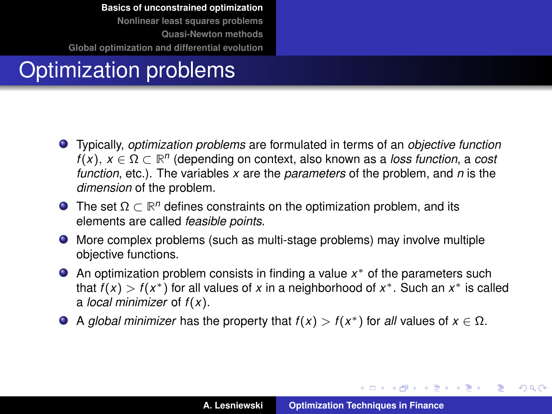# Optimization problems

- Typically, *optimization problems* are formulated in terms of an *objective function*  $f(x)$ ,  $x \in \Omega \subset \mathbb{R}^n$  (depending on context, also known as a *loss function*, a *cost function*, etc.). The variables *x* are the *parameters* of the problem, and *n* is the *dimension* of the problem.
- The set  $\Omega \subset \mathbb{R}^n$  defines constraints on the optimization problem, and its elements are called *feasible points*.
- More complex problems (such as multi-stage problems) may involve multiple objective functions.
- An optimization problem consists in finding a value *x* <sup>∗</sup> of the parameters such that  $f(x) > f(x^*)$  for all values of x in a neighborhood of  $x^*$ . Such an  $x^*$  is called a *local minimizer* of *f* (*x*).
- A *global minimizer* has the property that  $f(x) > f(x^*)$  for *all* values of  $x \in \Omega$ .

イロメ イ部メ イヨメ イヨメー

 $299$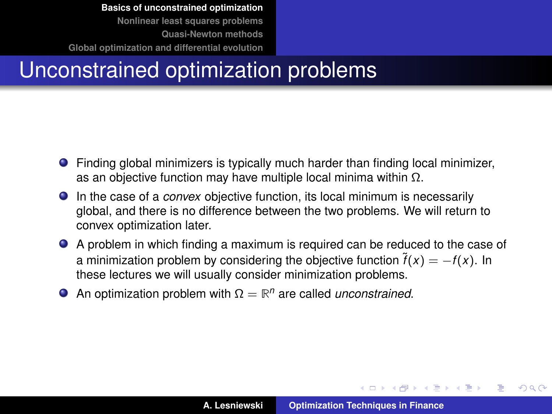### Unconstrained optimization problems

- Finding global minimizers is typically much harder than finding local minimizer, as an objective function may have multiple local minima within Ω.
- In the case of a *convex* objective function, its local minimum is necessarily global, and there is no difference between the two problems. We will return to convex optimization later.
- A problem in which finding a maximum is required can be reduced to the case of a minimization problem by considering the objective function  $\tilde{f}(x) = -f(x)$ . In these lectures we will usually consider minimization problems.
- An optimization problem with  $\Omega = \mathbb{R}^n$  are called *unconstrained*.

イロメ イ部メ イヨメ イヨメー

 $QQ$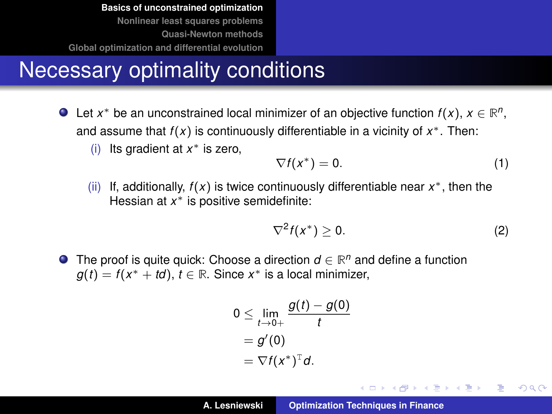### Necessary optimality conditions

- Let  $x^*$  be an unconstrained local minimizer of an objective function  $f(x)$ ,  $x \in \mathbb{R}^n$ , and assume that *f* (*x*) is continuously differentiable in a vicinity of *x* <sup>∗</sup>. Then:
	- (i) Its gradient at *x* <sup>∗</sup> is zero,

$$
\nabla f(x^*) = 0. \tag{1}
$$

(ii) If, additionally, *f* (*x*) is twice continuously differentiable near *x* <sup>∗</sup>, then the Hessian at *x* <sup>∗</sup> is positive semidefinite:

$$
\nabla^2 f(x^*) \geq 0. \tag{2}
$$

イロメ イ団メ イヨメ イヨメー

重

 $298$ 

The proof is quite quick: Choose a direction  $d \in \mathbb{R}^n$  and define a function  $g(t) = f(x^* + td)$ ,  $t \in \mathbb{R}$ . Since  $x^*$  is a local minimizer,

$$
0 \leq \lim_{t \to 0+} \frac{g(t) - g(0)}{t}
$$
  
=  $g'(0)$   
=  $\nabla f(x^*)^T d$ .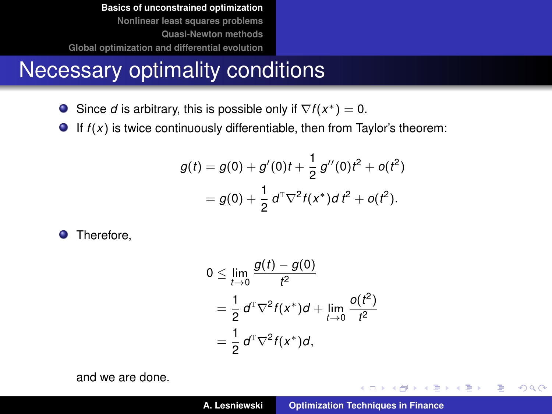#### Necessary optimality conditions

- Since *d* is arbitrary, this is possible only if  $\nabla f(x^*) = 0$ .
- If  $f(x)$  is twice continuously differentiable, then from Taylor's theorem:

$$
g(t) = g(0) + g'(0)t + \frac{1}{2}g''(0)t^2 + o(t^2)
$$
  
=  $g(0) + \frac{1}{2}d^T\nabla^2 f(x^*)dt^2 + o(t^2)$ .

**O** Therefore,

$$
0 \le \lim_{t \to 0} \frac{g(t) - g(0)}{t^2}
$$
  
=  $\frac{1}{2} d^{\mathrm{T}} \nabla^2 f(x^*) d + \lim_{t \to 0} \frac{o(t^2)}{t^2}$   
=  $\frac{1}{2} d^{\mathrm{T}} \nabla^2 f(x^*) d$ ,

and we are done.

(ロ) (個) (運) (運)

 $299$ 

重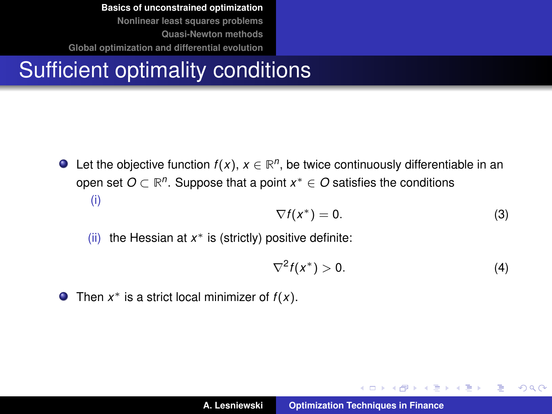# Sufficient optimality conditions

Let the objective function  $f(x)$ ,  $x \in \mathbb{R}^n$ , be twice continuously differentiable in an open set *O* ⊂ **R** *n* . Suppose that a point *x* <sup>∗</sup> ∈ *O* satisfies the conditions (i)

$$
\nabla f(x^*) = 0. \tag{3}
$$

(ii) the Hessian at *x* <sup>∗</sup> is (strictly) positive definite:

$$
\nabla^2 f(x^*) > 0. \tag{4}
$$

イロメ イ部メ イヨメ イヨメー

重  $2Q$ 

Then  $x^*$  is a strict local minimizer of  $f(x)$ .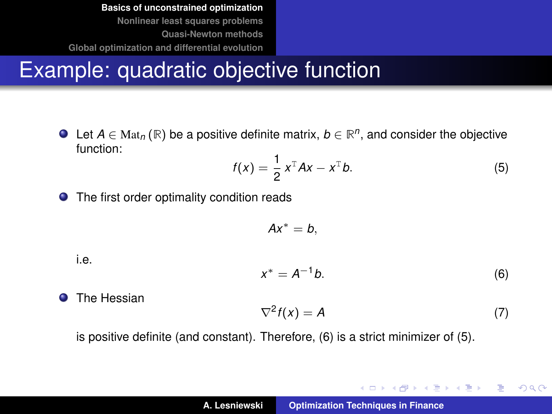# Example: quadratic objective function

Let  $A \in Mat_n(\mathbb{R})$  be a positive definite matrix,  $b \in \mathbb{R}^n$ , and consider the objective function:

<span id="page-9-1"></span>
$$
f(x) = \frac{1}{2}x^{\mathrm{T}}Ax - x^{\mathrm{T}}b.
$$
 (5)

The first order optimality condition reads  $\bullet$ 

$$
Ax^*=b,
$$

i.e.

<span id="page-9-0"></span>
$$
x^* = A^{-1}b. \tag{6}
$$

**O** The Hessian

$$
\nabla^2 f(x) = A \tag{7}
$$

イロメ イ団メ イヨメ イヨメー

 $2Q$ 重

is positive definite (and constant). Therefore, [\(6\)](#page-9-0) is a strict minimizer of [\(5\)](#page-9-1).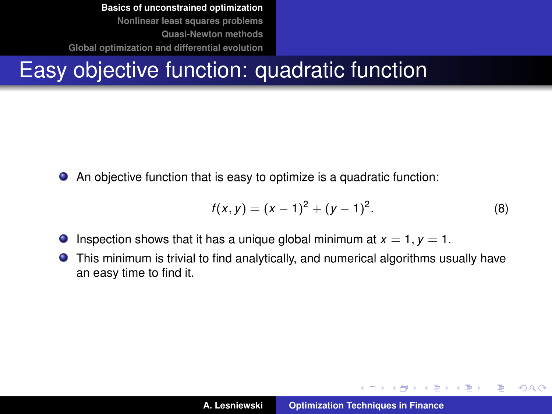## Easy objective function: quadratic function

An objective function that is easy to optimize is a quadratic function:  $\bullet$ 

$$
f(x, y) = (x - 1)^2 + (y - 1)^2.
$$
 (8)

イロメ イ部メ イヨメ イヨメー

 $QQQ$ 

B

- **O** Inspection shows that it has a unique global minimum at  $x = 1$ ,  $y = 1$ .
- This minimum is trivial to find analytically, and numerical algorithms usually have  $\bullet$ an easy time to find it.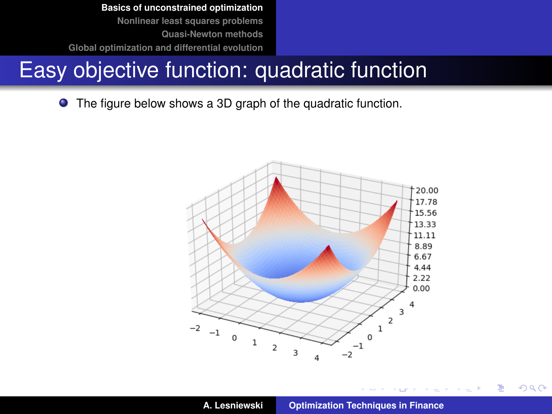### Easy objective function: quadratic function

 $\bullet$ The figure below shows a 3D graph of the quadratic function.



 $299$ 

重

**Survival Control**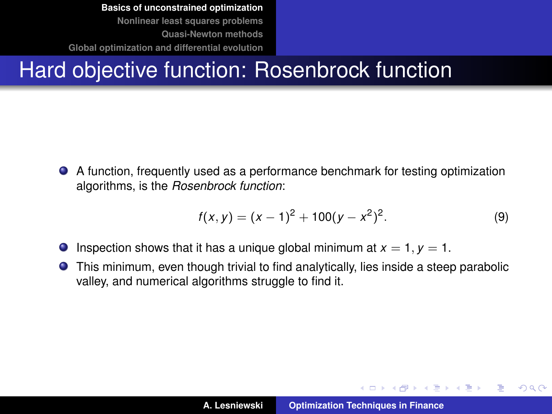# Hard objective function: Rosenbrock function

A function, frequently used as a performance benchmark for testing optimization algorithms, is the *Rosenbrock function*:

$$
f(x, y) = (x - 1)^2 + 100(y - x^2)^2.
$$
 (9)

- **Inspection shows that it has a unique global minimum at**  $x = 1$ **,**  $y = 1$ **.**
- This minimum, even though trivial to find analytically, lies inside a steep parabolic valley, and numerical algorithms struggle to find it.

イロメ イ団メ イヨメ イヨメー

 $QQQ$ 

B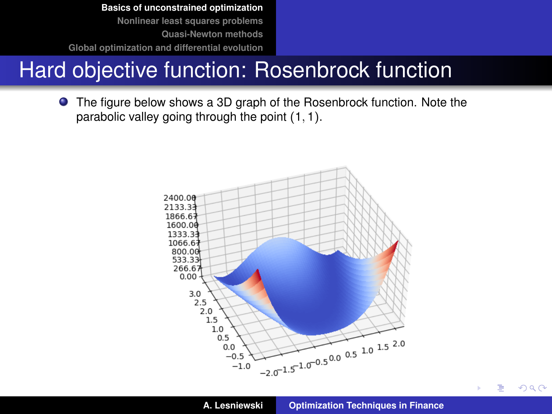# Hard objective function: Rosenbrock function

The figure below shows a 3D graph of the Rosenbrock function. Note the parabolic valley going through the point (1, 1).



 $299$ 

∍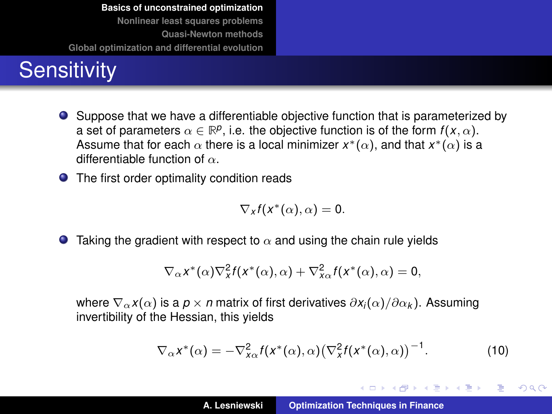# **Sensitivity**

Suppose that we have a differentiable objective function that is parameterized by a set of parameters  $\alpha \in \mathbb{R}^p$ , i.e. the objective function is of the form  $f(x, \alpha)$ . Assume that for each  $\alpha$  there is a local minimizer  $x^*(\alpha),$  and that  $x^*(\alpha)$  is a differentiable function of  $\alpha$ .

● The first order optimality condition reads

$$
\nabla_{x}f(x^{\ast}(\alpha),\alpha)=0.
$$

**Taking the gradient with respect to**  $\alpha$  **and using the chain rule yields** 

$$
\nabla_{\alpha} x^*(\alpha) \nabla_x^2 f(x^*(\alpha), \alpha) + \nabla_{x\alpha}^2 f(x^*(\alpha), \alpha) = 0,
$$

where  $\nabla_{\alpha} x(\alpha)$  is a *p* × *n* matrix of first derivatives  $\partial x_i(\alpha)/\partial \alpha_k$ ). Assuming invertibility of the Hessian, this yields

$$
\nabla_{\alpha} x^* (\alpha) = -\nabla_{x\alpha}^2 f(x^* (\alpha), \alpha) (\nabla_x^2 f(x^* (\alpha), \alpha))^{-1}.
$$
 (10)

イロメ イ部メ イ君メ イ君メー

重  $2Q$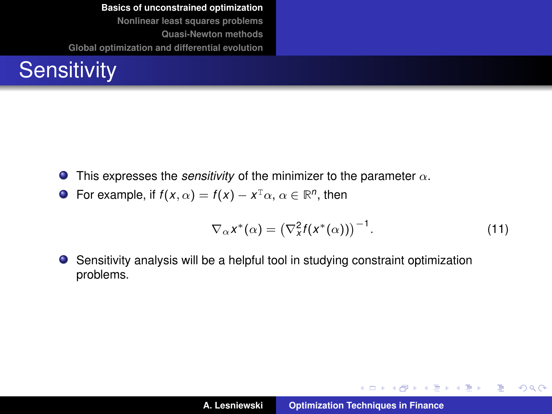<span id="page-15-0"></span>

- $\bullet$ This expresses the *sensitivity* of the minimizer to the parameter  $\alpha$ .
- For example, if  $f(x, \alpha) = f(x) x^{\text{T}} \alpha, \alpha \in \mathbb{R}^n$ , then

$$
\nabla_{\alpha} x^* (\alpha) = \left( \nabla_x^2 f(x^* (\alpha)) \right)^{-1} . \tag{11}
$$

イロトメ 御 トメ 君 トメ 君 トー

重

 $299$ 

Sensitivity analysis will be a helpful tool in studying constraint optimization  $\bullet$ problems.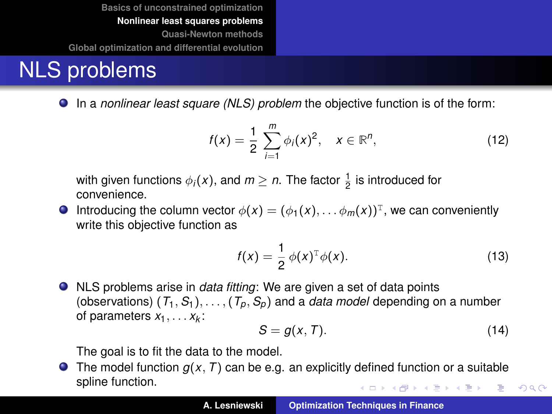### <span id="page-16-0"></span>NLS problems

In a *nonlinear least square (NLS) problem* the objective function is of the form:

<span id="page-16-1"></span>
$$
f(x) = \frac{1}{2} \sum_{i=1}^{m} \phi_i(x)^2, \quad x \in \mathbb{R}^n,
$$
 (12)

with given functions  $\phi_i(x)$ , and  $m \geq n$ . The factor  $\frac{1}{2}$  is introduced for convenience.

Introducing the column vector  $\phi(x) = (\phi_1(x), \ldots \phi_m(x))^T$ , we can conveniently write this objective function as

<span id="page-16-2"></span>
$$
f(x) = \frac{1}{2} \phi(x)^{\mathrm{T}} \phi(x). \tag{13}
$$

NLS problems arise in *data fitting*: We are given a set of data points (observations)  $(T_1, S_1), \ldots, (T_n, S_n)$  and a *data model* depending on a number of parameters *x*1, . . . *x<sup>k</sup>* :

$$
S = g(x, T). \tag{14}
$$

 $299$ 

The goal is to fit the data to the model.

 $\bullet$  The model function  $g(x, T)$  can be e.g. an explicitly defined function or a suitable spline function. ◆ロ→ ◆個→ ◆唐→ →唐→ →唐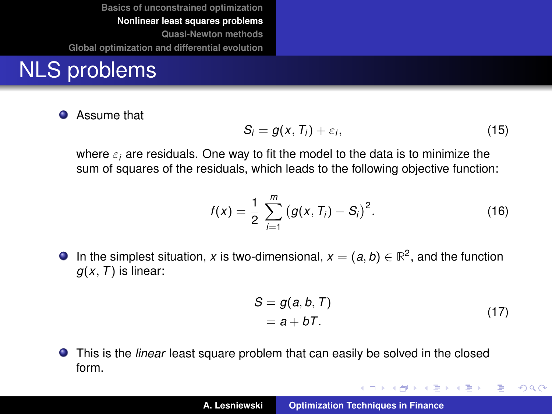#### NLS problems

 $\bullet$ Assume that

$$
S_i = g(x, T_i) + \varepsilon_i, \tag{15}
$$

where  $\varepsilon_i$  are residuals. One way to fit the model to the data is to minimize the sum of squares of the residuals, which leads to the following objective function:

$$
f(x) = \frac{1}{2} \sum_{i=1}^{m} (g(x, T_i) - S_i)^2.
$$
 (16)

In the simplest situation, *x* is two-dimensional,  $x = (a, b) \in \mathbb{R}^2$ , and the function  $q(x, T)$  is linear:

$$
S = g(a, b, T)
$$
  
= a + bT. (17)

イロメ イ部メ イヨメ イヨメー

 $299$ 

重

This is the *linear* least square problem that can easily be solved in the closed form.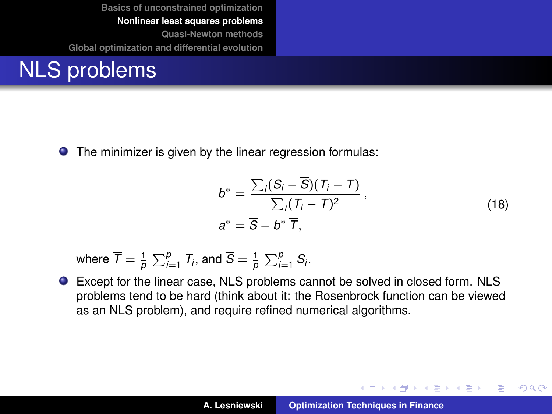#### NLS problems

**•** The minimizer is given by the linear regression formulas:

$$
b^* = \frac{\sum_i (S_i - \overline{S})(T_i - \overline{T})}{\sum_i (T_i - \overline{T})^2},
$$
  
\n
$$
a^* = \overline{S} - b^* \overline{T},
$$
\n(18)

イロメ イ部メ イヨメ イヨメー

 $299$ 

Þ

where  $\overline{\mathcal{T}} = \frac{1}{\rho}\sum_{i=1}^{\rho}\mathcal{T}_i$ , and  $\overline{S} = \frac{1}{\rho}\sum_{i=1}^{\rho}\mathcal{S}_i$ .

Except for the linear case, NLS problems cannot be solved in closed form. NLS problems tend to be hard (think about it: the Rosenbrock function can be viewed as an NLS problem), and require refined numerical algorithms.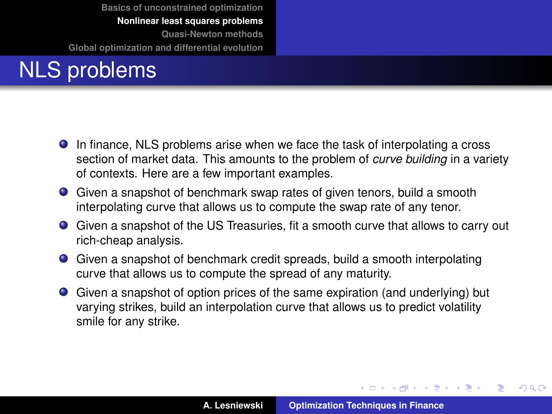# NLS problems

- In finance, NLS problems arise when we face the task of interpolating a cross section of market data. This amounts to the problem of *curve building* in a variety of contexts. Here are a few important examples.
- Given a snapshot of benchmark swap rates of given tenors, build a smooth interpolating curve that allows us to compute the swap rate of any tenor.
- Given a snapshot of the US Treasuries, fit a smooth curve that allows to carry out rich-cheap analysis.
- Given a snapshot of benchmark credit spreads, build a smooth interpolating curve that allows us to compute the spread of any maturity.
- Given a snapshot of option prices of the same expiration (and underlying) but varying strikes, build an interpolation curve that allows us to predict volatility smile for any strike.

(ロトス個) (運) (運)

 $299$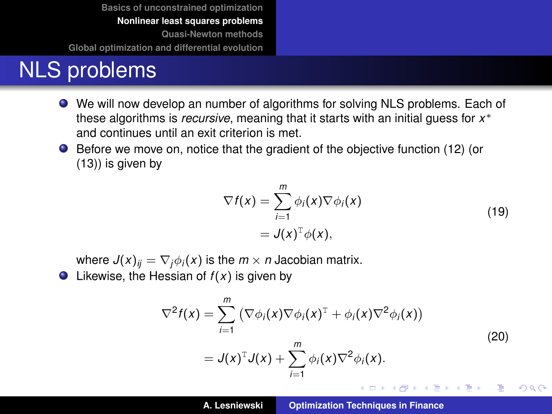#### NLS problems

- We will now develop an number of algorithms for solving NLS problems. Each of these algorithms is *recursive*, meaning that it starts with an initial guess for *x* ∗ and continues until an exit criterion is met.
- Before we move on, notice that the gradient of the objective function [\(12\)](#page-16-1) (or [\(13\)](#page-16-2)) is given by

$$
\nabla f(x) = \sum_{i=1}^{m} \phi_i(x) \nabla \phi_i(x)
$$
  
=  $J(x)^{\mathrm{T}} \phi(x)$ , (19)

<span id="page-20-0"></span>where  $J(x)_{ij} = \nabla_i \phi_i(x)$  is the  $m \times n$  Jacobian matrix.

 $\bullet$  Likewise, the Hessian of  $f(x)$  is given by

<span id="page-20-1"></span>
$$
\nabla^2 f(x) = \sum_{i=1}^m (\nabla \phi_i(x) \nabla \phi_i(x)^T + \phi_i(x) \nabla^2 \phi_i(x))
$$
\n
$$
= J(x)^T J(x) + \sum_{i=1}^m \phi_i(x) \nabla^2 \phi_i(x).
$$
\n(20)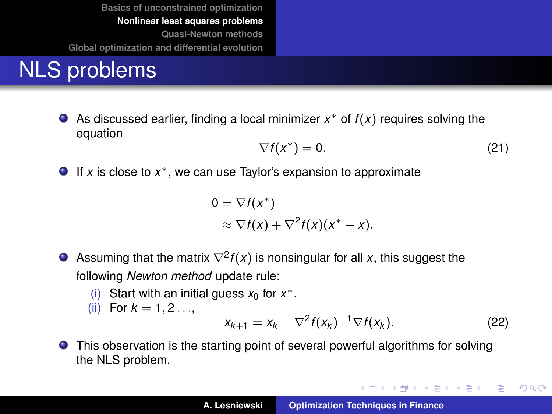### NLS problems

As discussed earlier, finding a local minimizer *x* <sup>∗</sup> of *f* (*x*) requires solving the equation

$$
\nabla f(x^*) = 0. \tag{21}
$$

If *x* is close to *x* <sup>∗</sup>, we can use Taylor's expansion to approximate

$$
0 = \nabla f(x^*)
$$
  
\$\approx \nabla f(x) + \nabla^2 f(x)(x^\* - x).\$

- Assuming that the matrix  $\nabla^2 f(x)$  is nonsingular for all x, this suggest the following *Newton method* update rule:
	- (i) Start with an initial guess  $x_0$  for  $x^*$ .
	- (ii) For  $k = 1, 2, ...$

<span id="page-21-0"></span>
$$
x_{k+1} = x_k - \nabla^2 f(x_k)^{-1} \nabla f(x_k). \tag{22}
$$

イロメ イ部メ イヨメ イヨメー

重

 $299$ 

This observation is the starting point of several powerful algorithms for solving the NLS problem.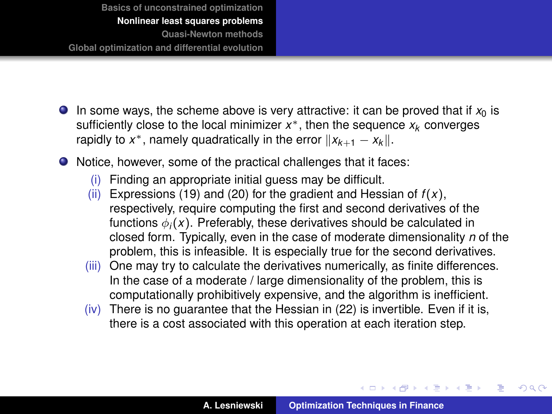- <span id="page-22-0"></span>In some ways, the scheme above is very attractive: it can be proved that if  $x_0$  is sufficiently close to the local minimizer *x* <sup>∗</sup>, then the sequence *x<sup>k</sup>* converges rapidly to  $x^*$ , namely quadratically in the error  $||x_{k+1} - x_k||$ .
- Notice, however, some of the practical challenges that it faces:
	- (i) Finding an appropriate initial guess may be difficult.
	- (ii) Expressions [\(19\)](#page-20-0) and [\(20\)](#page-20-1) for the gradient and Hessian of  $f(x)$ , respectively, require computing the first and second derivatives of the functions  $\phi_i(x)$ . Preferably, these derivatives should be calculated in closed form. Typically, even in the case of moderate dimensionality *n* of the problem, this is infeasible. It is especially true for the second derivatives.
	- (iii) One may try to calculate the derivatives numerically, as finite differences. In the case of a moderate / large dimensionality of the problem, this is computationally prohibitively expensive, and the algorithm is inefficient.
	- (iv) There is no guarantee that the Hessian in [\(22\)](#page-21-0) is invertible. Even if it is, there is a cost associated with this operation at each iteration step.

イロメ イ部メ イ君メ イ君メー

 $298$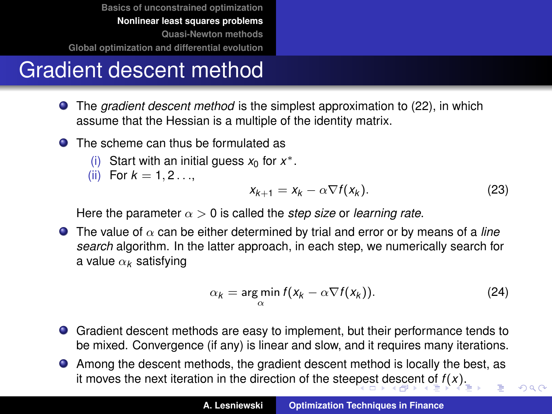## <span id="page-23-0"></span>Gradient descent method

- The *gradient descent method* is the simplest approximation to [\(22\)](#page-21-0), in which assume that the Hessian is a multiple of the identity matrix.
- **O** The scheme can thus be formulated as
	- (i) Start with an initial guess  $x_0$  for  $x^*$ .
	- (ii) For  $k = 1, 2, ...$

$$
x_{k+1} = x_k - \alpha \nabla f(x_k). \tag{23}
$$

 $2Q$ 

Here the parameter  $\alpha > 0$  is called the *step size* or *learning rate*.

**The value of**  $\alpha$  **can be either determined by trial and error or by means of a** *line search* algorithm. In the latter approach, in each step, we numerically search for a value α*<sup>k</sup>* satisfying

$$
\alpha_k = \argmin_{\alpha} f(x_k - \alpha \nabla f(x_k)). \tag{24}
$$

- Gradient descent methods are easy to implement, but their performance tends to be mixed. Convergence (if any) is linear and slow, and it requires many iterations.
- Among the descent methods, the gradient descent method is locally the best, as it moves the next iteration in the direction of the stee[pe](#page-22-0)s[t d](#page-24-0)[e](#page-22-0)[sce](#page-23-0)[n](#page-24-0)[t](#page-15-0) [of](#page-16-0) *[f](#page-32-0)* [\(](#page-33-0)*[x](#page-15-0)*[\)](#page-16-0).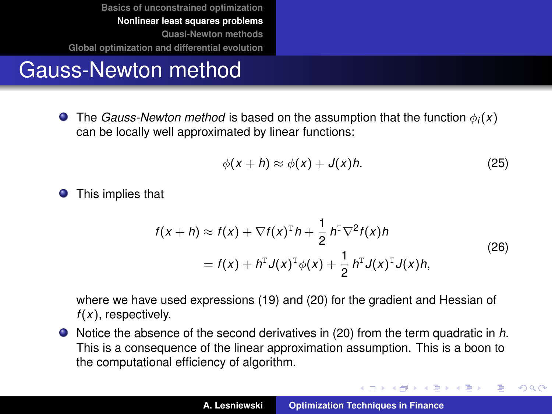## <span id="page-24-0"></span>Gauss-Newton method

**The** *Gauss-Newton method* **is based on the assumption that the function**  $\phi_i(x)$ can be locally well approximated by linear functions:

$$
\phi(x+h) \approx \phi(x) + J(x)h. \tag{25}
$$

イロメ イ団メ イヨメ イヨメー

重

 $299$ 

**O** This implies that

$$
f(x+h) \approx f(x) + \nabla f(x)^{\mathrm{T}} h + \frac{1}{2} h^{\mathrm{T}} \nabla^2 f(x) h
$$
  
=  $f(x) + h^{\mathrm{T}} J(x)^{\mathrm{T}} \phi(x) + \frac{1}{2} h^{\mathrm{T}} J(x)^{\mathrm{T}} J(x) h,$  (26)

<span id="page-24-1"></span>where we have used expressions [\(19\)](#page-20-0) and [\(20\)](#page-20-1) for the gradient and Hessian of *f* (*x*), respectively.

Notice the absence of the second derivatives in [\(20\)](#page-20-1) from the term quadratic in *h*. This is a consequence of the linear approximation assumption. This is a boon to the computational efficiency of algorithm.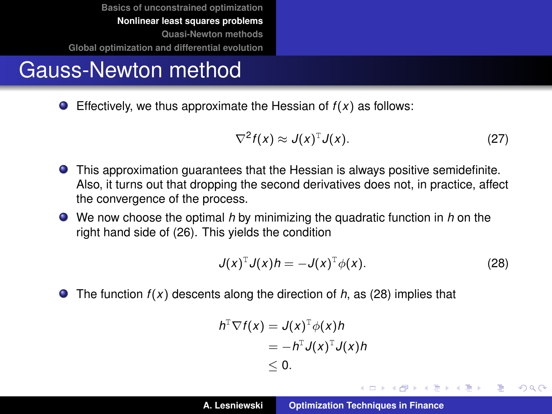# Gauss-Newton method

**Effectively, we thus approximate the Hessian of**  $f(x)$  **as follows:** 

$$
\nabla^2 f(x) \approx J(x)^T J(x). \tag{27}
$$

- This approximation guarantees that the Hessian is always positive semidefinite. Also, it turns out that dropping the second derivatives does not, in practice, affect the convergence of the process.
- We now choose the optimal *h* by minimizing the quadratic function in *h* on the right hand side of [\(26\)](#page-24-1). This yields the condition

<span id="page-25-0"></span>
$$
J(x)^{T}J(x)h = -J(x)^{T}\phi(x).
$$
 (28)

イロメ イ部メ イヨメ イヨメー

Þ

 $QQ$ 

● The function *f*(*x*) descents along the direction of *h*, as [\(28\)](#page-25-0) implies that

$$
h^{\mathbb{T}} \nabla f(x) = J(x)^{\mathbb{T}} \phi(x) h
$$
  
=  $-h^{\mathbb{T}} J(x)^{\mathbb{T}} J(x) h$   
 $\leq 0.$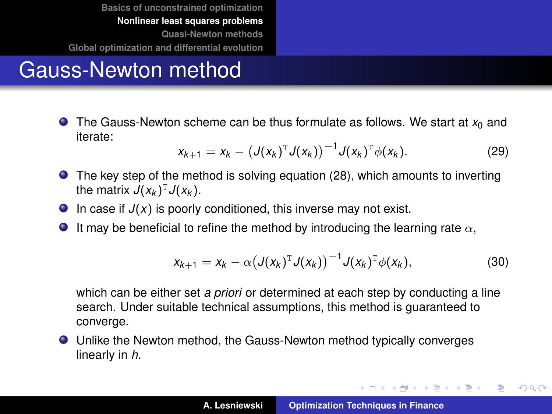# Gauss-Newton method

 $\bullet$  The Gauss-Newton scheme can be thus formulate as follows. We start at  $x_0$  and iterate:

$$
x_{k+1} = x_k - (J(x_k)^T J(x_k))^{-1} J(x_k)^T \phi(x_k).
$$
 (29)

- The key step of the method is solving equation [\(28\)](#page-25-0), which amounts to inverting the matrix  $J(x_k)^T J(x_k)$ .
- $\bullet$  In case if  $J(x)$  is poorly conditioned, this inverse may not exist.
- **If may be beneficial to refine the method by introducing the learning rate**  $\alpha$ **,**

$$
x_{k+1} = x_k - \alpha \left(J(x_k)^{\mathrm{T}} J(x_k)\right)^{-1} J(x_k)^{\mathrm{T}} \phi(x_k), \qquad (30)
$$

which can be either set *a priori* or determined at each step by conducting a line search. Under suitable technical assumptions, this method is guaranteed to converge.

Unlike the Newton method, the Gauss-Newton method typically converges linearly in *h*.

イロメ イ団メ イヨメ イヨメー

重

 $299$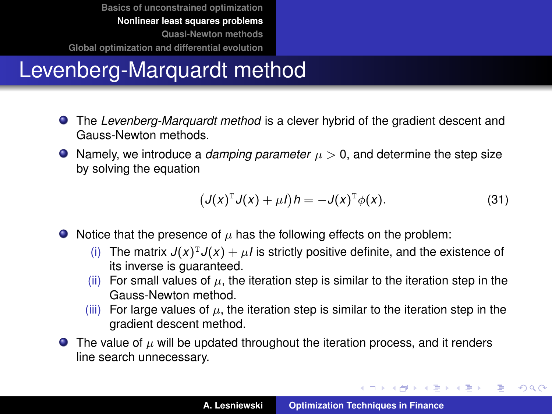# Levenberg-Marquardt method

- The *Levenberg-Marquardt method* is a clever hybrid of the gradient descent and Gauss-Newton methods.
- $\bullet$  Namely, we introduce a *damping parameter*  $\mu > 0$ , and determine the step size by solving the equation

<span id="page-27-0"></span>
$$
\left(J(x)^{\mathrm{T}}J(x)+\mu I\right)h=-J(x)^{\mathrm{T}}\phi(x). \tag{31}
$$

- $\bullet$  Notice that the presence of  $\mu$  has the following effects on the problem:
	- (i) The matrix  $J(x)^T J(x) + \mu I$  is strictly positive definite, and the existence of its inverse is guaranteed.
	- (ii) For small values of  $\mu$ , the iteration step is similar to the iteration step in the Gauss-Newton method.
	- (iii) For large values of  $\mu$ , the iteration step is similar to the iteration step in the gradient descent method.
- **The value of**  $\mu$  **will be updated throughout the iteration process, and it renders** line search unnecessary.

イロメ イ部メ イヨメ イヨメー

 $299$ 

重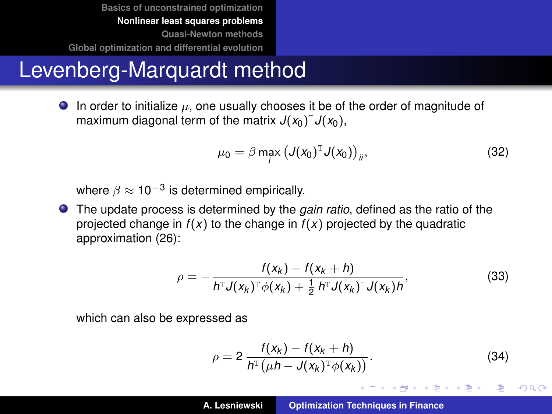#### Levenberg-Marquardt method

In order to initialize  $\mu$ , one usually chooses it be of the order of magnitude of maximum diagonal term of the matrix  $J(x_0)^T J(x_0)$ ,

<span id="page-28-1"></span>
$$
\mu_0 = \beta \max_i \left( J(x_0)^{\mathrm{T}} J(x_0) \right)_{ii},\tag{32}
$$

where  $\beta \approx 10^{-3}$  is determined empirically.

The update process is determined by the *gain ratio*, defined as the ratio of the projected change in  $f(x)$  to the change in  $f(x)$  projected by the quadratic approximation [\(26\)](#page-24-1):

<span id="page-28-2"></span>
$$
\rho = -\frac{f(x_k) - f(x_k + h)}{h^T J(x_k)^T \phi(x_k) + \frac{1}{2} h^T J(x_k)^T J(x_k) h},
$$
\n(33)

which can also be expressed as

<span id="page-28-0"></span>
$$
\rho = 2 \frac{f(x_k) - f(x_k + h)}{h^{\text{T}}(\mu h - J(x_k)^{\text{T}} \phi(x_k))}.
$$
 (34)

イロメ イ団メ イヨメ イヨメー

 $299$ 

B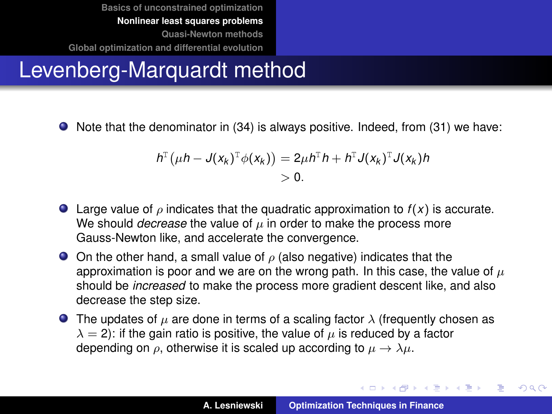### Levenberg-Marquardt method

● Note that the denominator in [\(34\)](#page-28-0) is always positive. Indeed, from [\(31\)](#page-27-0) we have:

$$
h^{\mathrm{T}}(\mu h - J(x_k)^{\mathrm{T}} \phi(x_k)) = 2\mu h^{\mathrm{T}} h + h^{\mathrm{T}} J(x_k)^{\mathrm{T}} J(x_k) h
$$
  
> 0.

- **E** Large value of  $\rho$  indicates that the quadratic approximation to  $f(x)$  is accurate. We should *decrease* the value of  $\mu$  in order to make the process more Gauss-Newton like, and accelerate the convergence.
- $\bullet$  On the other hand, a small value of  $\rho$  (also negative) indicates that the approximation is poor and we are on the wrong path. In this case, the value of  $\mu$ should be *increased* to make the process more gradient descent like, and also decrease the step size.
- **The updates of**  $\mu$  **are done in terms of a scaling factor**  $\lambda$  **(frequently chosen as**  $\lambda = 2$ ): if the gain ratio is positive, the value of  $\mu$  is reduced by a factor depending on  $\rho$ , otherwise it is scaled up according to  $\mu \to \lambda \mu$ .

**K ロ ▶ K 御 ▶ K 唐 ▶ K 唐 ▶** 

 $QQ$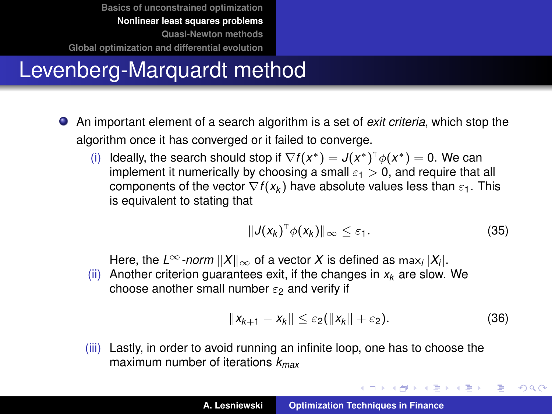# Levenberg-Marquardt method

- An important element of a search algorithm is a set of *exit criteria*, which stop the algorithm once it has converged or it failed to converge.
	- (i) Ideally, the search should stop if  $\nabla f(x^*) = J(x^*)^T \phi(x^*) = 0$ . We can implement it numerically by choosing a small  $\varepsilon_1 > 0$ , and require that all components of the vector  $\nabla f(x_k)$  have absolute values less than  $\varepsilon_1$ . This is equivalent to stating that

$$
||J(x_k)^T \phi(x_k)||_{\infty} \leq \varepsilon_1.
$$
 (35)

Here, the  $L^\infty$ *-norm*  $\|X\|_\infty$  of a vector  $X$  is defined as  $\max_i |X_i|.$ 

(ii) Another criterion guarantees exit, if the changes in  $x_k$  are slow. We choose another small number  $\varepsilon_2$  and verify if

$$
||x_{k+1}-x_k||\leq \varepsilon_2(||x_k||+\varepsilon_2). \hspace{1.5cm} (36)
$$

イロメ イ部メ イヨメ イヨメー

 $299$ 

重

(iii) Lastly, in order to avoid running an infinite loop, one has to choose the maximum number of iterations *kmax*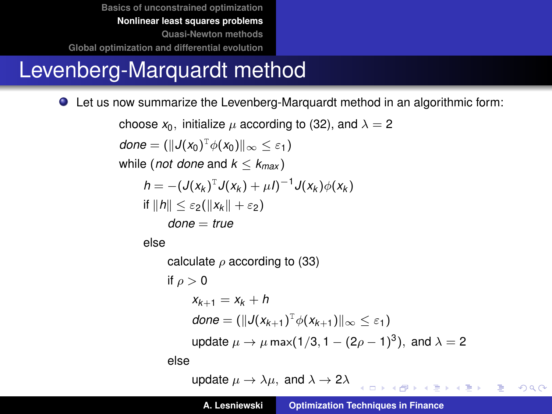### Levenberg-Marquardt method

Let us now summarize the Levenberg-Marquardt method in an algorithmic form:

choose  $x_0$ , initialize  $\mu$  according to [\(32\)](#page-28-1), and  $\lambda = 2$  $done = (\|J(x_0)^T\phi(x_0)\|_{\infty} \leq \varepsilon_1)$ while (*not done* and  $k < k_{max}$ )  $h = -(\mathcal{J}(x_k)^T \mathcal{J}(x_k) + \mu I)^{-1} \mathcal{J}(x_k) \phi(x_k)$  $if ||h|| < \varepsilon_2(||x_k|| + \varepsilon_2)$ *done* = *true* else calculate  $\rho$  according to [\(33\)](#page-28-2) if  $\rho > 0$  $X_{k+1} = X_k + h$  $\mathcal{A}$ *done* =  $(\Vert \mathcal{J}(x_{k+1})^T \phi(x_{k+1}) \Vert_{\infty} \leq \varepsilon_1)$ update  $\mu \to \mu$  max(1/3, 1  $-$  (2 $\rho$   $-$  1) $^3$ ), and  $\lambda =$  2 else

update  $\mu \to \lambda \mu$ , and  $\lambda \to 2\lambda$ **KORKARYKERKE AGA**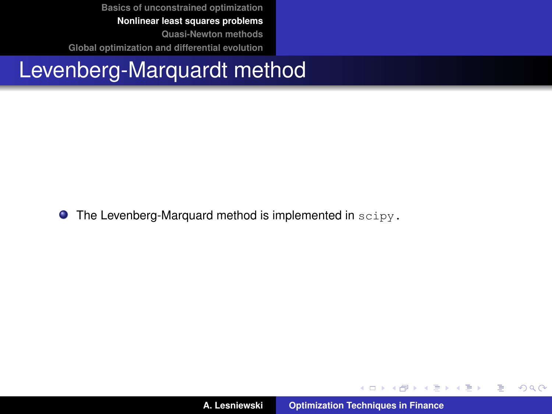#### <span id="page-32-0"></span>Levenberg-Marquardt method

 $\bullet$  The Levenberg-Marquard method is implemented in  $\text{scipy}$ .

イロメ イ部メ イヨメ イヨメー

重

 $299$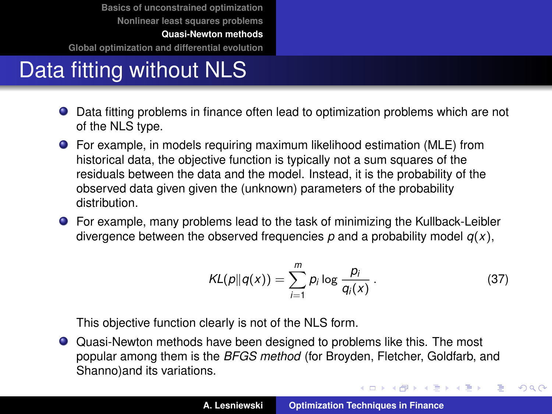**[Basics of unconstrained optimization](#page-3-0) [Nonlinear least squares problems](#page-16-0)**

**[Quasi-Newton methods](#page-33-0)**

<span id="page-33-0"></span>**[Global optimization and differential evolution](#page-41-0)**

# Data fitting without NLS

- Data fitting problems in finance often lead to optimization problems which are not of the NLS type.
- For example, in models requiring maximum likelihood estimation (MLE) from historical data, the objective function is typically not a sum squares of the residuals between the data and the model. Instead, it is the probability of the observed data given given the (unknown) parameters of the probability distribution.
- For example, many problems lead to the task of minimizing the Kullback-Leibler divergence between the observed frequencies  $p$  and a probability model  $q(x)$ ,

$$
KL(p||q(x)) = \sum_{i=1}^{m} p_i \log \frac{p_i}{q_i(x)}.
$$
 (37)

イロメ イ部メ イヨメ イヨメー

 $299$ 

重

This objective function clearly is not of the NLS form.

Quasi-Newton methods have been designed to problems like this. The most popular among them is the *BFGS method* (for Broyden, Fletcher, Goldfarb, and Shanno)and its variations.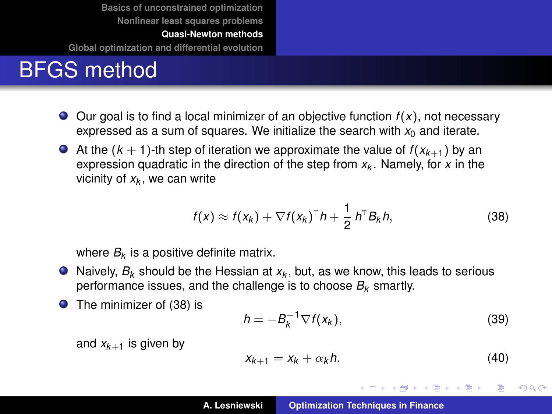**[Basics of unconstrained optimization](#page-3-0) [Nonlinear least squares problems](#page-16-0)**

**[Quasi-Newton methods](#page-33-0)**

**[Global optimization and differential evolution](#page-41-0)**

## BFGS method

- $\bullet$  Our goal is to find a local minimizer of an objective function  $f(x)$ , not necessary expressed as a sum of squares. We initialize the search with  $x_0$  and iterate.
- At the  $(k + 1)$ -th step of iteration we approximate the value of  $f(x_{k+1})$  by an expression quadratic in the direction of the step from *x<sup>k</sup>* . Namely, for *x* in the vicinity of *x<sup>k</sup>* , we can write

<span id="page-34-0"></span>
$$
f(x) \approx f(x_k) + \nabla f(x_k)^{\mathrm{T}} h + \frac{1}{2} h^{\mathrm{T}} B_k h, \qquad (38)
$$

where  $B_k$  is a positive definite matrix.

- Naively, *B<sup>k</sup>* should be the Hessian at *x<sup>k</sup>* , but, as we know, this leads to serious performance issues, and the challenge is to choose *B<sup>k</sup>* smartly.
- The minimizer of [\(38\)](#page-34-0) is

<span id="page-34-1"></span>
$$
h = -B_k^{-1} \nabla f(x_k), \tag{39}
$$

and  $x_{k+1}$  is given by

$$
x_{k+1} = x_k + \alpha_k h. \tag{40}
$$

イロメ イ部メ イヨメ イヨメー

重

 $298$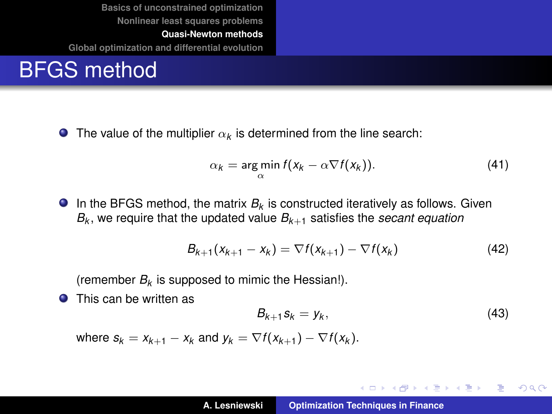#### BFGS method

The value of the multiplier  $\alpha_k$  is determined from the line search:

<span id="page-35-1"></span>
$$
\alpha_k = \argmin_{\alpha} f(x_k - \alpha \nabla f(x_k)). \tag{41}
$$

In the BFGS method, the matrix  $B_k$  is constructed iteratively as follows. Given *Bk* , we require that the updated value *Bk*+<sup>1</sup> satisfies the *secant equation*

$$
B_{k+1}(x_{k+1}-x_k)=\nabla f(x_{k+1})-\nabla f(x_k) \qquad (42)
$$

(remember *B<sup>k</sup>* is supposed to mimic the Hessian!).

**O** This can be written as

<span id="page-35-0"></span>
$$
B_{k+1}S_k = y_k, \qquad (43)
$$

メロメメ 御 メメ きょくきょう

重。  $298$ 

where  $s_k = x_{k+1} - x_k$  and  $y_k = \nabla f(x_{k+1}) - \nabla f(x_k)$ .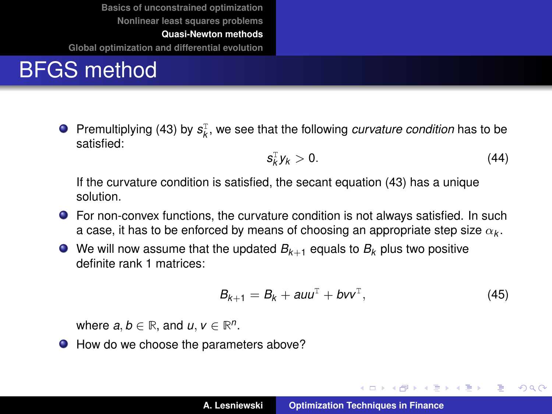**[Basics of unconstrained optimization](#page-3-0) [Nonlinear least squares problems](#page-16-0)**

**[Quasi-Newton methods](#page-33-0)**

**[Global optimization and differential evolution](#page-41-0)**

# BFGS method

Premultiplying [\(43\)](#page-35-0) by  $s_k^T$ , we see that the following *curvature condition* has to be satisfied:

$$
s_k^{\mathrm{T}}y_k>0.\tag{44}
$$

If the curvature condition is satisfied, the secant equation [\(43\)](#page-35-0) has a unique solution.

*s*

- For non-convex functions, the curvature condition is not always satisfied. In such a case, it has to be enforced by means of choosing an appropriate step size  $\alpha_k.$
- $\bullet$  We will now assume that the updated  $B_{k+1}$  equals to  $B_k$  plus two positive definite rank 1 matrices:

$$
B_{k+1} = B_k + auu^{\mathrm{T}} + bvv^{\mathrm{T}}, \qquad (45)
$$

(ロ) (個) (運) (運)

 $299$ 

重

where  $a, b \in \mathbb{R}$ , and  $u, v \in \mathbb{R}^n$ .

● How do we choose the parameters above?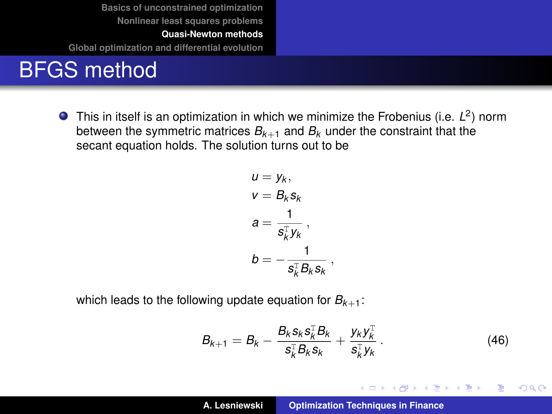**[Basics of unconstrained optimization](#page-3-0) [Nonlinear least squares problems](#page-16-0) [Quasi-Newton methods](#page-33-0)**

**[Global optimization and differential evolution](#page-41-0)**

#### BFGS method

This in itself is an optimization in which we minimize the Frobenius (i.e. *L* 2 ) norm between the symmetric matrices  $B_{k+1}$  and  $B_k$  under the constraint that the secant equation holds. The solution turns out to be

$$
u = y_k,
$$
  
\n
$$
v = B_k s_k
$$
  
\n
$$
a = \frac{1}{s_k^T y_k},
$$
  
\n
$$
b = -\frac{1}{s_k^T B_k s_k},
$$

which leads to the following update equation for  $B_{k+1}$ :

<span id="page-37-0"></span>
$$
B_{k+1} = B_k - \frac{B_k s_k s_k^{\mathrm{T}} B_k}{s_k^{\mathrm{T}} B_k s_k} + \frac{y_k y_k^{\mathrm{T}}}{s_k^{\mathrm{T}} y_k} \,. \tag{46}
$$

イロメ イ部メ イヨメ イヨメー

 $299$ 

重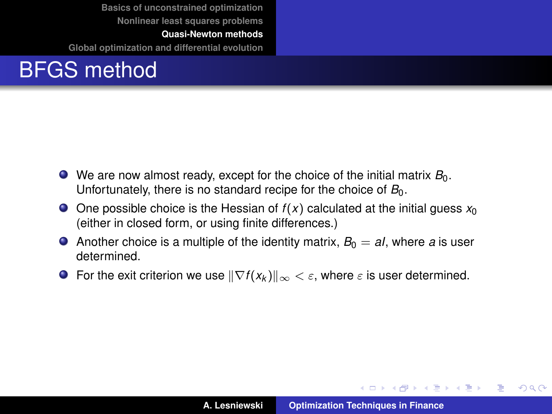**[Basics of unconstrained optimization](#page-3-0) [Nonlinear least squares problems](#page-16-0)**

**[Quasi-Newton methods](#page-33-0)**

**[Global optimization and differential evolution](#page-41-0)**



- $\bullet$  We are now almost ready, except for the choice of the initial matrix  $B_0$ . Unfortunately, there is no standard recipe for the choice of  $B_0$ .
- $\bullet$  One possible choice is the Hessian of  $f(x)$  calculated at the initial guess  $x_0$ (either in closed form, or using finite differences.)
- Another choice is a multiple of the identity matrix,  $B_0 = aI$ , where a is user determined.
- For the exit criterion we use  $\|\nabla f(x_k)\|_{\infty} < \varepsilon$ , where  $\varepsilon$  is user determined.

イロメ イ部メ イヨメ イヨメー

 $299$ 

重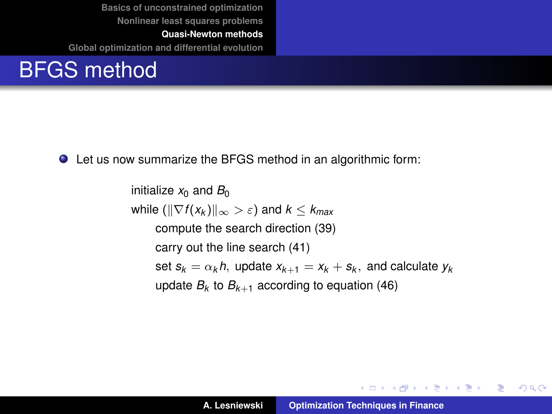**[Basics of unconstrained optimization](#page-3-0) [Nonlinear least squares problems](#page-16-0)**

**[Quasi-Newton methods](#page-33-0) [Global optimization and differential evolution](#page-41-0)**

#### BFGS method

Let us now summarize the BFGS method in an algorithmic form:

initialize  $x_0$  and  $B_0$ while  $(\|\nabla f(x_k)\|_{\infty} > \varepsilon)$  and  $k < k_{max}$ compute the search direction [\(39\)](#page-34-1) carry out the line search [\(41\)](#page-35-1) set  $s_k = \alpha_k h$ , update  $x_{k+1} = x_k + s_k$ , and calculate  $y_k$ update  $B_k$  to  $B_{k+1}$  according to equation [\(46\)](#page-37-0)

K ロ ▶ K 御 ▶ K 重 ▶ K 重 ▶ 三重 → 約 Q @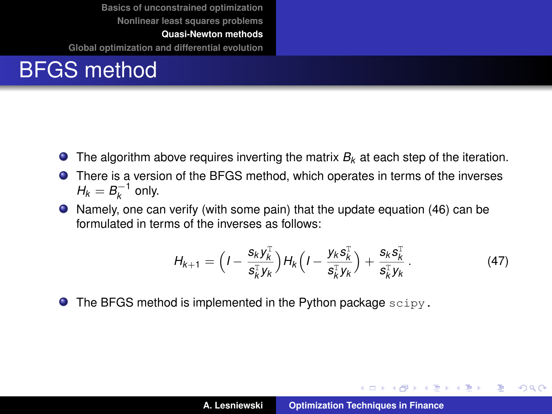**[Basics of unconstrained optimization](#page-3-0) [Nonlinear least squares problems](#page-16-0) [Quasi-Newton methods](#page-33-0)**

**[Global optimization and differential evolution](#page-41-0)**

### BFGS method

- **The algorithm above requires inverting the matrix**  $B_k$  **at each step of the iteration.**
- There is a version of the BFGS method, which operates in terms of the inverses  $H_k = B_k^{-1}$  only.
- Namely, one can verify (with some pain) that the update equation [\(46\)](#page-37-0) can be formulated in terms of the inverses as follows:

$$
H_{k+1} = \Big(I - \frac{s_k y_k^{\mathrm{T}}}{s_k^{\mathrm{T}} y_k}\Big) H_k \Big(I - \frac{y_k s_k^{\mathrm{T}}}{s_k^{\mathrm{T}} y_k}\Big) + \frac{s_k s_k^{\mathrm{T}}}{s_k^{\mathrm{T}} y_k} \,. \tag{47}
$$

 $\bullet$  The BFGS method is implemented in the Python package  $\text{scipy}$ .

イロメ イ部メ イヨメ イヨメー

 $299$ 

重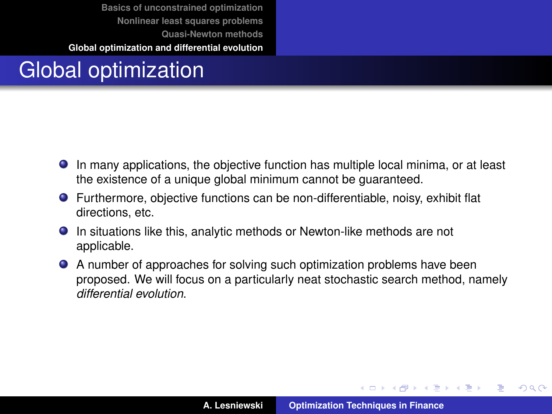# <span id="page-41-0"></span>Global optimization

- In many applications, the objective function has multiple local minima, or at least the existence of a unique global minimum cannot be guaranteed.
- Furthermore, objective functions can be non-differentiable, noisy, exhibit flat directions, etc.
- **In situations like this, analytic methods or Newton-like methods are not** applicable.
- A number of approaches for solving such optimization problems have been proposed. We will focus on a particularly neat stochastic search method, namely *differential evolution*.

イロメ イ部メ イヨメ イヨメー

 $QQ$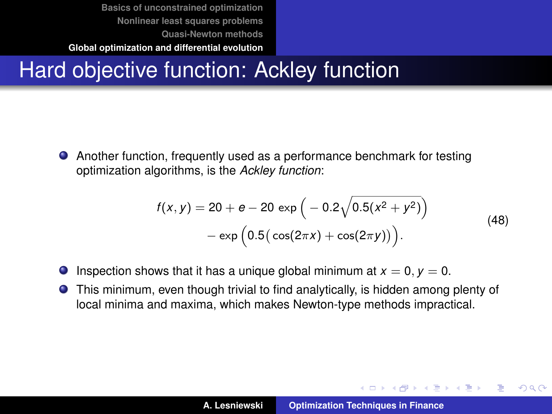# Hard objective function: Ackley function

Another function, frequently used as a performance benchmark for testing optimization algorithms, is the *Ackley function*:

$$
f(x,y) = 20 + e - 20 \exp\left(-0.2\sqrt{0.5(x^2 + y^2)}\right) - \exp\left(0.5(\cos(2\pi x) + \cos(2\pi y))\right).
$$
\n(48)

- **Inspection shows that it has a unique global minimum at**  $x = 0$ **,**  $y = 0$ **.**
- This minimum, even though trivial to find analytically, is hidden among plenty of local minima and maxima, which makes Newton-type methods impractical.

イロメ イ部メ イヨメ イヨメー

 $QQQ$ Þ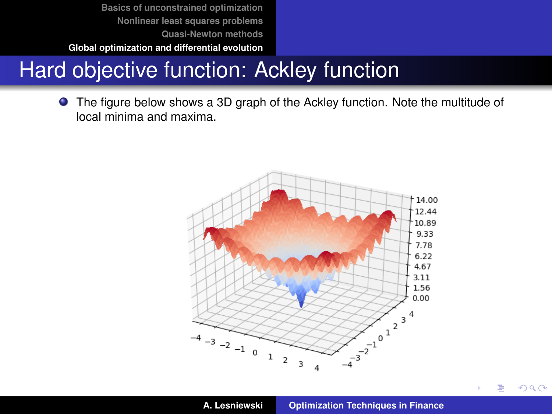**[Basics of unconstrained optimization](#page-3-0) [Nonlinear least squares problems](#page-16-0) [Quasi-Newton methods](#page-33-0)**

**[Global optimization and differential evolution](#page-41-0)**

# Hard objective function: Ackley function

The figure below shows a 3D graph of the Ackley function. Note the multitude of local minima and maxima.



 $298$ 

∍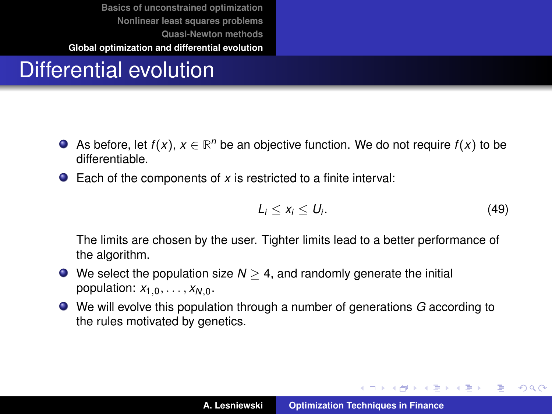# Differential evolution

- As before, let  $f(x)$ ,  $x \in \mathbb{R}^n$  be an objective function. We do not require  $f(x)$  to be differentiable.
- Each of the components of *x* is restricted to a finite interval:

$$
L_i \leq x_i \leq U_i. \tag{49}
$$

イロメ イ団メ イヨメ イヨメー

 $299$ 

重

The limits are chosen by the user. Tighter limits lead to a better performance of the algorithm.

- $\bullet$  We select the population size  $N > 4$ , and randomly generate the initial population:  $x_{1,0}, \ldots, x_{N,0}$ .
- We will evolve this population through a number of generations *G* according to the rules motivated by genetics.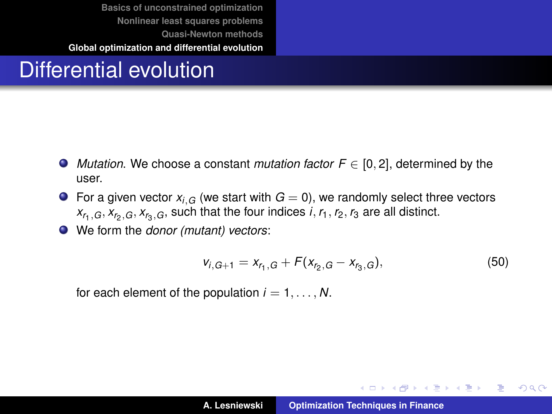#### Differential evolution

- *Mutation*. We choose a constant *mutation factor F* ∈ [0, 2], determined by the user.
- **•** For a given vector  $x_{i,G}$  (we start with  $G = 0$ ), we randomly select three vectors  $x_{r_1,G}, x_{r_2,G}, x_{r_3,G}$ , such that the four indices *i*,  $r_1, r_2, r_3$  are all distinct.
- We form the *donor (mutant) vectors*:

$$
v_{i,G+1} = x_{r_1,G} + F(x_{r_2,G} - x_{r_3,G}),
$$
\n(50)

イロメ イ団メ イヨメ イヨメー

重

 $298$ 

for each element of the population  $i = 1, \ldots, N$ .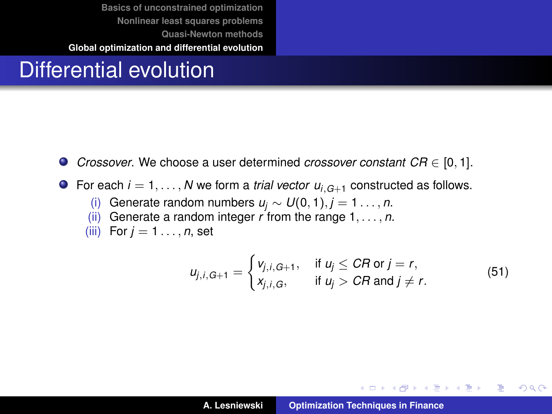#### Differential evolution

- *Crossover*. We choose a user determined *crossover constant CR* ∈ [0, 1].
- **O** For each  $i = 1, \ldots, N$  we form a *trial vector*  $u_{i,G+1}$  constructed as follows.
	- (i) Generate random numbers  $u_j$  ∼  $U(0, 1), j = 1, ..., n$ .
	- (ii) Generate a random integer *r* from the range 1, . . . , *n*.
	- (iii) For  $j = 1, \ldots, n$ , set

$$
u_{j,i,G+1} = \begin{cases} v_{j,i,G+1}, & \text{if } u_j \leq CR \text{ or } j = r, \\ x_{j,i,G}, & \text{if } u_j > CR \text{ and } j \neq r. \end{cases}
$$
(51)

イロメ イ部メ イヨメ イヨメー

重

 $298$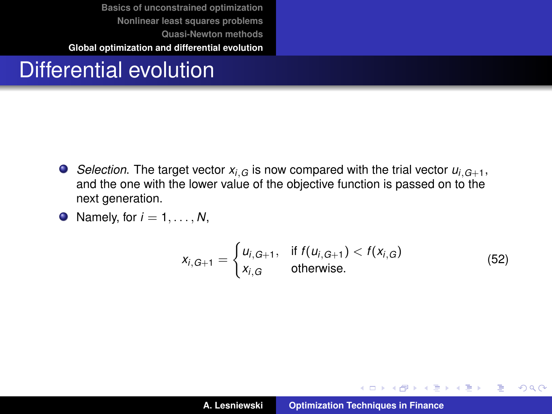#### Differential evolution

- *Selection*. The target vector  $x_i$  *G* is now compared with the trial vector  $u_i$   $G_{+1}$ , and the one with the lower value of the objective function is passed on to the next generation.
- $\bullet$  Namely, for  $i = 1, \ldots, N$ ,

$$
x_{i,G+1} = \begin{cases} u_{i,G+1}, & \text{if } f(u_{i,G+1}) < f(x_{i,G}) \\ x_{i,G} & \text{otherwise.} \end{cases}
$$
(52)

イロメ イ部メ イヨメ イヨメー

 $299$ 

重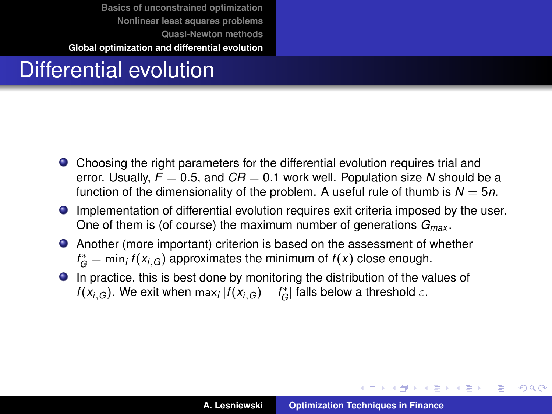### Differential evolution

- Choosing the right parameters for the differential evolution requires trial and error. Usually,  $F = 0.5$ , and  $CR = 0.1$  work well. Population size N should be a function of the dimensionality of the problem. A useful rule of thumb is  $N = 5n$ .
- Implementation of differential evolution requires exit criteria imposed by the user. One of them is (of course) the maximum number of generations *Gmax* .
- Another (more important) criterion is based on the assessment of whether  $f_G^* = \min_i f(x_{i,G})$  approximates the minimum of  $f(x)$  close enough.
- In practice, this is best done by monitoring the distribution of the values of *f*( $x_{i,G}$ ). We exit when  $\max_{i} |f(x_{i,G}) - f^*_{\overline{G}}|$  falls below a threshold  $\varepsilon$ .

イロト イ部 トイモト イモト

 $299$